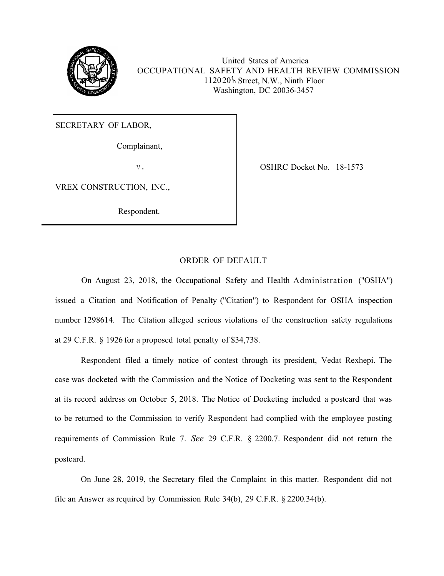

112020<sup>h</sup> Street, N.W., Ninth Floor United States of America OCCUPATIONAL SAFETY AND HEALTH REVIEW COMMISSION Washington, DC 20036-3457

SECRETARY OF LABOR,

Complainant,

v.

VREX CONSTRUCTION, INC.,

Respondent.

OSHRC Docket No. 18-1573

## ORDER OF DEFAULT

On August 23, 2018, the Occupational Safety and Health Administration ("OSHA") issued a Citation and Notification of Penalty ("Citation") to Respondent for OSHA inspection number 1298614. The Citation alleged serious violations of the construction safety regulations at 29 C.F.R. § 1926 for a proposed total penalty of \$34,738.

Respondent filed a timely notice of contest through its president, Vedat Rexhepi. The case was docketed with the Commission and the Notice of Docketing was sent to the Respondent at its record address on October 5, 2018. The Notice of Docketing included a postcard that was to be returned to the Commission to verify Respondent had complied with the employee posting requirements of Commission Rule 7. *See* 29 C.F.R. § 2200.7. Respondent did not return the postcard.

On June 28, 2019, the Secretary filed the Complaint in this matter. Respondent did not file an Answer as required by Commission Rule 34(b), 29 C.F.R. § 2200.34(b).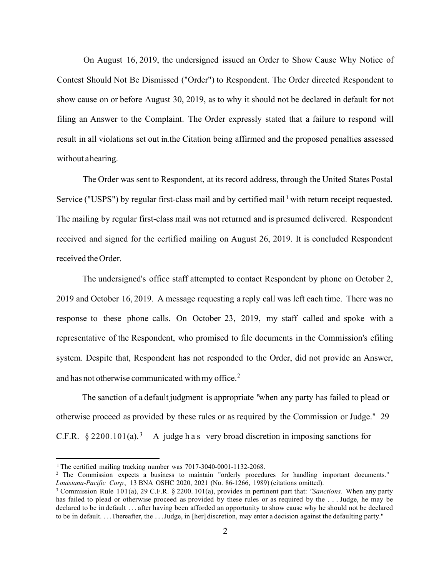On August 16, 2019, the undersigned issued an Order to Show Cause Why Notice of Contest Should Not Be Dismissed ("Order") to Respondent. The Order directed Respondent to show cause on or before August 30, 2019, as to why it should not be declared in default for not filing an Answer to the Complaint. The Order expressly stated that a failure to respond will result in all violations set out in. the Citation being affirmed and the proposed penalties assessed without a hearing.

The Order was sent to Respondent, at its record address, through the United States Postal Service ("USPS") by regular first-class mail and by certified mail<sup>1</sup> with return receipt requested. The mailing by regular first-class mail was not returned and is presumed delivered. Respondent received and signed for the certified mailing on August 26, 2019. It is concluded Respondent received the Order.

The undersigned's office staff attempted to contact Respondent by phone on October 2, 2019 and October 16, 2019. A message requesting a reply call was left each time. There was no response to these phone calls. On October 23, 2019, my staff called and spoke with a representative of the Respondent, who promised to file documents in the Commission's efiling system. Despite that, Respondent has not responded to the Order, did not provide an Answer, and has not otherwise communicated with my office.<sup>2</sup>

The sanction of a default judgment is appropriate "when any party has failed to plead or otherwise proceed as provided by these rules or as required by the Commission or Judge." 29 C.F.R.  $\S 2200.101(a).$ <sup>3</sup> A judge has very broad discretion in imposing sanctions for

<sup>&</sup>lt;sup>1</sup> The certified mailing tracking number was  $7017-3040-0001-1132-2068$ .

<sup>2</sup> The Commission expects a business to maintain "orderly procedures for handling important documents." *Louisiana-Pacific Corp.,* 13 BNA OSHC 2020, 2021 (No. 86-1266, 1989) (citations omitted).

<sup>3</sup> Commission Rule 101(a), 29 C.F.R. § 2200. 101(a), provides in pertinent part that: *"Sanctions.* When any party has failed to plead or otherwise proceed as provided by these rules or as required by the ... Judge, he may be declared to be in default . . . after having been afforded an opportunity to show cause why he should not be declared to be in default. . . .Thereafter, the . . . Judge, in [her] discretion, may enter a decision against the defaulting party.''